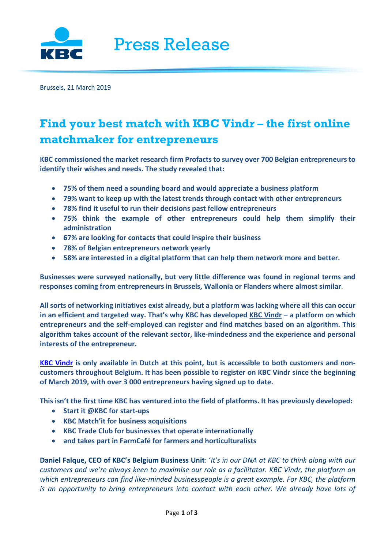

Brussels, 21 March 2019

## **Find your best match with KBC Vindr – the first online matchmaker for entrepreneurs**

**KBC commissioned the market research firm Profacts to survey over 700 Belgian entrepreneurs to identify their wishes and needs. The study revealed that:** 

- **75% of them need a sounding board and would appreciate a business platform**
- **79% want to keep up with the latest trends through contact with other entrepreneurs**
- **78% find it useful to run their decisions past fellow entrepreneurs**
- **75% think the example of other entrepreneurs could help them simplify their administration**
- **67% are looking for contacts that could inspire their business**
- **78% of Belgian entrepreneurs network yearly**
- **58% are interested in a digital platform that can help them network more and better.**

**Businesses were surveyed nationally, but very little difference was found in regional terms and responses coming from entrepreneurs in Brussels, Wallonia or Flanders where almost similar**.

**All sorts of networking initiatives exist already, but a platform was lacking where all this can occur in an efficient and targeted way. That's why KBC has developed KBC Vindr – a platform on which entrepreneurs and the self-employed can register and find matches based on an algorithm. This algorithm takes account of the relevant sector, like-mindedness and the experience and personal interests of the entrepreneur.** 

**[KBC Vindr](https://kbcvindr.be/welcome) is only available in Dutch at this point, but is accessible to both customers and noncustomers throughout Belgium. It has been possible to register on KBC Vindr since the beginning of March 2019, with over 3 000 entrepreneurs having signed up to date.** 

**This isn't the first time KBC has ventured into the field of platforms. It has previously developed:** 

- **Start it @KBC for start-ups**
- **KBC Match'it for business acquisitions**
- **KBC Trade Club for businesses that operate internationally**
- **and takes part in FarmCafé for farmers and horticulturalists**

**Daniel Falque, CEO of KBC's Belgium Business Unit**: '*It's in our DNA at KBC to think along with our customers and we're always keen to maximise our role as a facilitator. KBC Vindr, the platform on which entrepreneurs can find like-minded businesspeople is a great example. For KBC, the platform*  is an opportunity to bring entrepreneurs into contact with each other. We already have lots of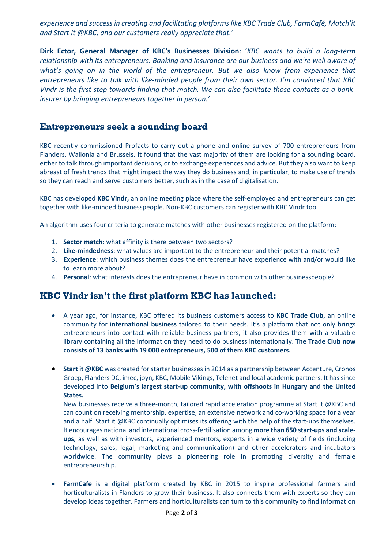*experience and success in creating and facilitating platforms like KBC Trade Club, FarmCafé, Match'it and Start it @KBC, and our customers really appreciate that.'* 

**Dirk Ector, General Manager of KBC's Businesses Division**: '*KBC wants to build a long-term relationship with its entrepreneurs. Banking and insurance are our business and we're well aware of*  what's going on in the world of the entrepreneur. But we also know from experience that *entrepreneurs like to talk with like-minded people from their own sector. I'm convinced that KBC Vindr is the first step towards finding that match. We can also facilitate those contacts as a bankinsurer by bringing entrepreneurs together in person.'* 

## **Entrepreneurs seek a sounding board**

KBC recently commissioned Profacts to carry out a phone and online survey of 700 entrepreneurs from Flanders, Wallonia and Brussels. It found that the vast majority of them are looking for a sounding board, either to talk through important decisions, or to exchange experiences and advice. But they also want to keep abreast of fresh trends that might impact the way they do business and, in particular, to make use of trends so they can reach and serve customers better, such as in the case of digitalisation.

KBC has developed **KBC Vindr,** an online meeting place where the self-employed and entrepreneurs can get together with like-minded businesspeople. Non-KBC customers can register with KBC Vindr too.

An algorithm uses four criteria to generate matches with other businesses registered on the platform:

- 1. **Sector match**: what affinity is there between two sectors?
- 2. **Like-mindedness**: what values are important to the entrepreneur and their potential matches?
- 3. **Experience**: which business themes does the entrepreneur have experience with and/or would like to learn more about?
- 4. **Personal**: what interests does the entrepreneur have in common with other businesspeople?

## **KBC Vindr isn't the first platform KBC has launched:**

- A year ago, for instance, KBC offered its business customers access to **KBC Trade Club**, an online community for **international business** tailored to their needs. It's a platform that not only brings entrepreneurs into contact with reliable business partners, it also provides them with a valuable library containing all the information they need to do business internationally. **The Trade Club now consists of 13 banks with 19 000 entrepreneurs, 500 of them KBC customers.**
- **Start it @KBC** was created for starter businesses in 2014 as a partnership between Accenture, Cronos Groep, Flanders DC, imec, joyn, KBC, Mobile Vikings, Telenet and local academic partners. It has since developed into **Belgium's largest start-up community, with offshoots in Hungary and the United States.**

New businesses receive a three-month, tailored rapid acceleration programme at Start it @KBC and can count on receiving mentorship, expertise, an extensive network and co-working space for a year and a half. Start it @KBC continually optimises its offering with the help of the start-ups themselves. It encourages national and international cross-fertilisation among **more than 650 start-ups and scaleups**, as well as with investors, experienced mentors, experts in a wide variety of fields (including technology, sales, legal, marketing and communication) and other accelerators and incubators worldwide. The community plays a pioneering role in promoting diversity and female entrepreneurship.

• **FarmCafe** is a digital platform created by KBC in 2015 to inspire professional farmers and horticulturalists in Flanders to grow their business. It also connects them with experts so they can develop ideas together. Farmers and horticulturalists can turn to this community to find information